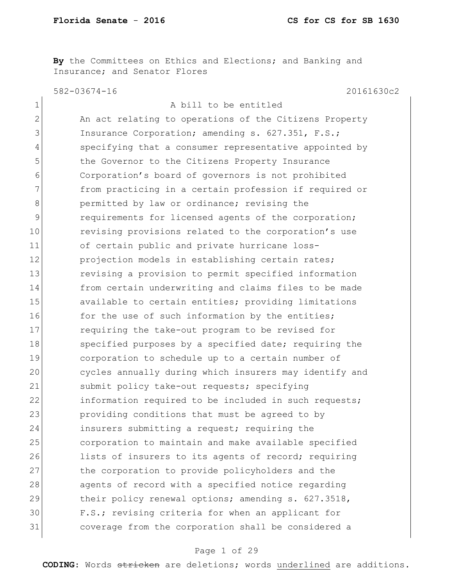**By** the Committees on Ethics and Elections; and Banking and Insurance; and Senator Flores

582-03674-16 20161630c2

| A bill to be entitled                                       |
|-------------------------------------------------------------|
| An act relating to operations of the Citizens Property      |
| Insurance Corporation; amending s. 627.351, F.S.;           |
| specifying that a consumer representative appointed by      |
| the Governor to the Citizens Property Insurance             |
| Corporation's board of governors is not prohibited          |
| from practicing in a certain profession if required or      |
| permitted by law or ordinance; revising the                 |
| requirements for licensed agents of the corporation;        |
| revising provisions related to the corporation's use        |
| of certain public and private hurricane loss-               |
| projection models in establishing certain rates;            |
| 13<br>revising a provision to permit specified information  |
| from certain underwriting and claims files to be made<br>14 |
| available to certain entities; providing limitations        |
| for the use of such information by the entities;<br>16      |
| requiring the take-out program to be revised for            |
| 18<br>specified purposes by a specified date; requiring the |
| 19<br>corporation to schedule up to a certain number of     |
| cycles annually during which insurers may identify and      |
| submit policy take-out requests; specifying                 |
| information required to be included in such requests;       |
| providing conditions that must be agreed to by              |
| insurers submitting a request; requiring the                |
| corporation to maintain and make available specified        |
| lists of insurers to its agents of record; requiring        |
| the corporation to provide policyholders and the            |
| agents of record with a specified notice regarding          |
| their policy renewal options; amending s. 627.3518,         |
| F.S.; revising criteria for when an applicant for           |
| coverage from the corporation shall be considered a         |
|                                                             |

# Page 1 of 29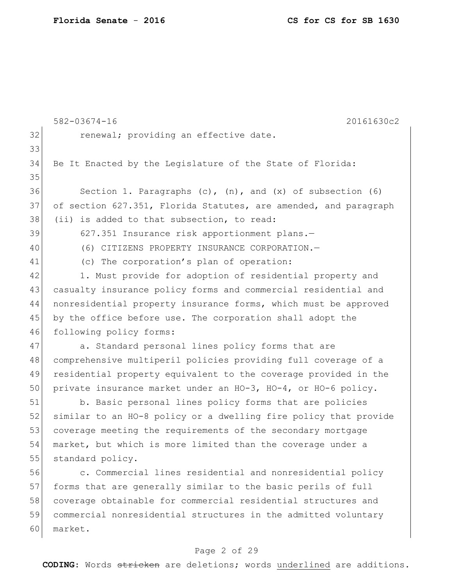|    | 20161630c2<br>$582 - 03674 - 16$                                    |
|----|---------------------------------------------------------------------|
| 32 | renewal; providing an effective date.                               |
| 33 |                                                                     |
| 34 | Be It Enacted by the Legislature of the State of Florida:           |
| 35 |                                                                     |
| 36 | Section 1. Paragraphs $(c)$ , $(n)$ , and $(x)$ of subsection $(6)$ |
| 37 | of section 627.351, Florida Statutes, are amended, and paragraph    |
| 38 | (ii) is added to that subsection, to read:                          |
| 39 | 627.351 Insurance risk apportionment plans.-                        |
| 40 | (6) CITIZENS PROPERTY INSURANCE CORPORATION.-                       |
| 41 | (c) The corporation's plan of operation:                            |
| 42 | 1. Must provide for adoption of residential property and            |
| 43 | casualty insurance policy forms and commercial residential and      |
| 44 | nonresidential property insurance forms, which must be approved     |
| 45 | by the office before use. The corporation shall adopt the           |
| 46 | following policy forms:                                             |
| 47 | a. Standard personal lines policy forms that are                    |
| 48 | comprehensive multiperil policies providing full coverage of a      |
| 49 | residential property equivalent to the coverage provided in the     |
| 50 | private insurance market under an HO-3, HO-4, or HO-6 policy.       |
| 51 | b. Basic personal lines policy forms that are policies              |
| 52 | similar to an HO-8 policy or a dwelling fire policy that provide    |
| 53 | coverage meeting the requirements of the secondary mortgage         |
| 54 | market, but which is more limited than the coverage under a         |
| 55 | standard policy.                                                    |
| 56 | c. Commercial lines residential and nonresidential policy           |
| 57 | forms that are generally similar to the basic perils of full        |
| 58 | coverage obtainable for commercial residential structures and       |
| 59 | commercial nonresidential structures in the admitted voluntary      |
| 60 | market.                                                             |

# Page 2 of 29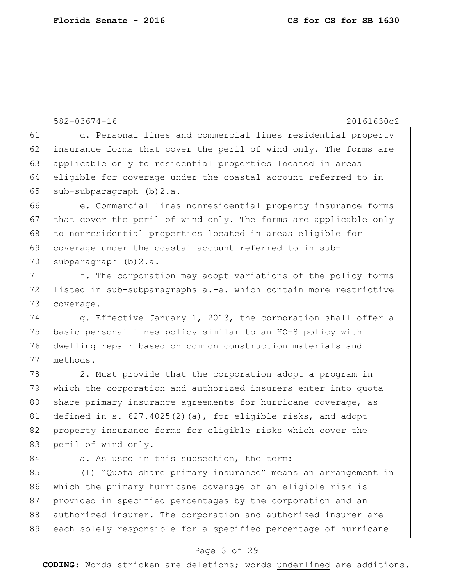|    | $582 - 03674 - 16$<br>20161630c2                                 |
|----|------------------------------------------------------------------|
| 61 | d. Personal lines and commercial lines residential property      |
| 62 | insurance forms that cover the peril of wind only. The forms are |
| 63 | applicable only to residential properties located in areas       |
| 64 | eligible for coverage under the coastal account referred to in   |
| 65 | $sub-subparagnch$ (b) $2.a.$                                     |
| 66 | e. Commercial lines nonresidential property insurance forms      |
| 67 | that cover the peril of wind only. The forms are applicable only |
| 68 | to nonresidential properties located in areas eligible for       |
| 69 | coverage under the coastal account referred to in sub-           |
| 70 | subparagraph $(b) 2.a.$                                          |
| 71 | f. The corporation may adopt variations of the policy forms      |
| 72 | listed in sub-subparagraphs a.-e. which contain more restrictive |
| 73 | coverage.                                                        |
| 74 | g. Effective January 1, 2013, the corporation shall offer a      |
| 75 | basic personal lines policy similar to an HO-8 policy with       |
| 76 | dwelling repair based on common construction materials and       |
| 77 | methods.                                                         |
| 78 | 2. Must provide that the corporation adopt a program in          |
| 79 | which the corporation and authorized insurers enter into quota   |
| 80 | share primary insurance agreements for hurricane coverage, as    |
| 81 | defined in s. $627.4025(2)(a)$ , for eligible risks, and adopt   |
| 82 | property insurance forms for eligible risks which cover the      |
| 83 | peril of wind only.                                              |
| 84 | a. As used in this subsection, the term:                         |
| 85 | (I) "Quota share primary insurance" means an arrangement in      |
| 86 | which the primary hurricane coverage of an eligible risk is      |
| 87 | provided in specified percentages by the corporation and an      |
| 88 | authorized insurer. The corporation and authorized insurer are   |
| 89 | each solely responsible for a specified percentage of hurricane  |

# Page 3 of 29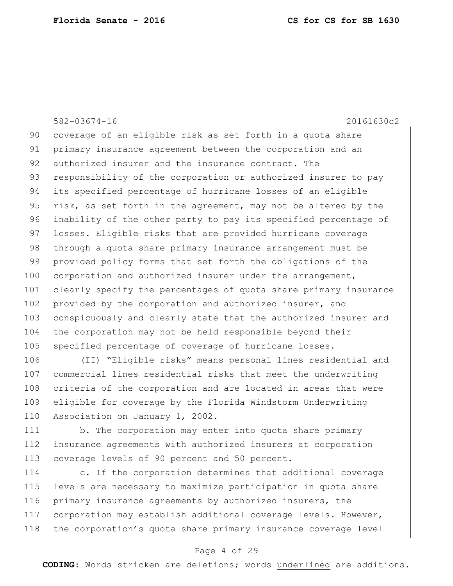582-03674-16 20161630c2 90 coverage of an eligible risk as set forth in a quota share 91 primary insurance agreement between the corporation and an 92 authorized insurer and the insurance contract. The 93 responsibility of the corporation or authorized insurer to pay 94 its specified percentage of hurricane losses of an eligible 95 risk, as set forth in the agreement, may not be altered by the 96 inability of the other party to pay its specified percentage of 97 losses. Eligible risks that are provided hurricane coverage 98 through a quota share primary insurance arrangement must be 99 provided policy forms that set forth the obligations of the 100 corporation and authorized insurer under the arrangement, 101 clearly specify the percentages of quota share primary insurance 102 provided by the corporation and authorized insurer, and 103 conspicuously and clearly state that the authorized insurer and 104 the corporation may not be held responsible beyond their 105 specified percentage of coverage of hurricane losses.

106 (II) "Eligible risks" means personal lines residential and 107 commercial lines residential risks that meet the underwriting 108 criteria of the corporation and are located in areas that were 109 eligible for coverage by the Florida Windstorm Underwriting 110 Association on January 1, 2002.

111 b. The corporation may enter into quota share primary 112 insurance agreements with authorized insurers at corporation 113 coverage levels of 90 percent and 50 percent.

 c. If the corporation determines that additional coverage levels are necessary to maximize participation in quota share primary insurance agreements by authorized insurers, the corporation may establish additional coverage levels. However, 118 the corporation's quota share primary insurance coverage level

# Page 4 of 29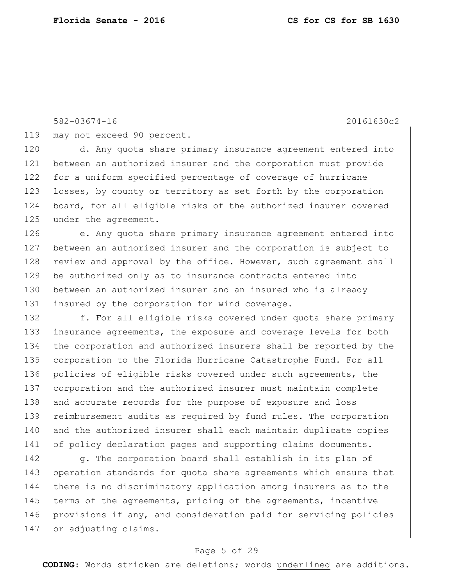119 may not exceed 90 percent.

120 d. Any quota share primary insurance agreement entered into 121 between an authorized insurer and the corporation must provide 122 for a uniform specified percentage of coverage of hurricane 123 losses, by county or territory as set forth by the corporation 124 board, for all eligible risks of the authorized insurer covered 125 under the agreement.

126 e. Any quota share primary insurance agreement entered into 127 between an authorized insurer and the corporation is subject to 128 review and approval by the office. However, such agreement shall 129 be authorized only as to insurance contracts entered into 130 between an authorized insurer and an insured who is already 131 insured by the corporation for wind coverage.

132 f. For all eligible risks covered under quota share primary insurance agreements, the exposure and coverage levels for both the corporation and authorized insurers shall be reported by the corporation to the Florida Hurricane Catastrophe Fund. For all policies of eligible risks covered under such agreements, the corporation and the authorized insurer must maintain complete 138 and accurate records for the purpose of exposure and loss reimbursement audits as required by fund rules. The corporation and the authorized insurer shall each maintain duplicate copies 141 of policy declaration pages and supporting claims documents.

142 g. The corporation board shall establish in its plan of 143 operation standards for quota share agreements which ensure that 144 there is no discriminatory application among insurers as to the 145 terms of the agreements, pricing of the agreements, incentive 146 provisions if any, and consideration paid for servicing policies 147 or adjusting claims.

# Page 5 of 29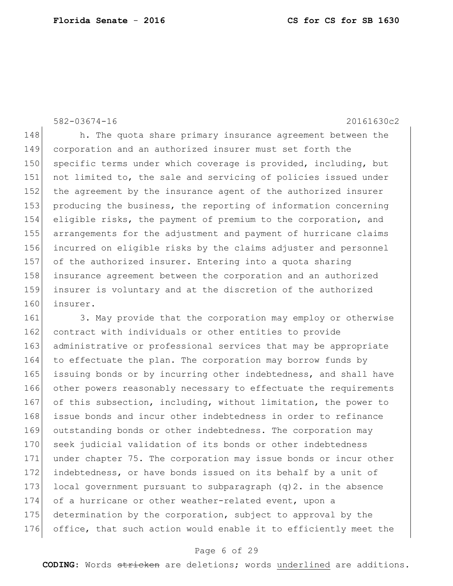148 h. The quota share primary insurance agreement between the 149 corporation and an authorized insurer must set forth the 150 specific terms under which coverage is provided, including, but 151 not limited to, the sale and servicing of policies issued under 152 the agreement by the insurance agent of the authorized insurer 153 producing the business, the reporting of information concerning 154 eligible risks, the payment of premium to the corporation, and 155 arrangements for the adjustment and payment of hurricane claims 156 incurred on eligible risks by the claims adjuster and personnel 157 of the authorized insurer. Entering into a quota sharing 158 insurance agreement between the corporation and an authorized 159 insurer is voluntary and at the discretion of the authorized 160 insurer.

161 3. May provide that the corporation may employ or otherwise 162 contract with individuals or other entities to provide 163 administrative or professional services that may be appropriate 164 to effectuate the plan. The corporation may borrow funds by 165 issuing bonds or by incurring other indebtedness, and shall have 166 other powers reasonably necessary to effectuate the requirements 167 of this subsection, including, without limitation, the power to 168 issue bonds and incur other indebtedness in order to refinance 169 outstanding bonds or other indebtedness. The corporation may 170 seek judicial validation of its bonds or other indebtedness 171 under chapter 75. The corporation may issue bonds or incur other 172 indebtedness, or have bonds issued on its behalf by a unit of 173 local government pursuant to subparagraph  $(q)$ 2. in the absence 174 of a hurricane or other weather-related event, upon a 175 determination by the corporation, subject to approval by the 176 office, that such action would enable it to efficiently meet the

## Page 6 of 29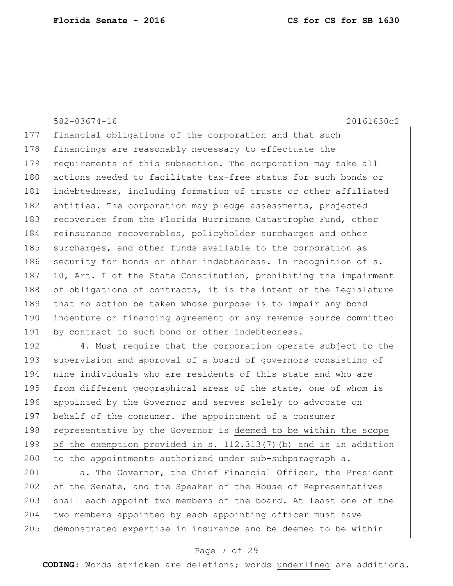177 financial obligations of the corporation and that such 178 financings are reasonably necessary to effectuate the 179 requirements of this subsection. The corporation may take all 180 actions needed to facilitate tax-free status for such bonds or 181 indebtedness, including formation of trusts or other affiliated 182 entities. The corporation may pledge assessments, projected 183 recoveries from the Florida Hurricane Catastrophe Fund, other 184 reinsurance recoverables, policyholder surcharges and other 185 surcharges, and other funds available to the corporation as 186 security for bonds or other indebtedness. In recognition of s. 187 10, Art. I of the State Constitution, prohibiting the impairment 188 of obligations of contracts, it is the intent of the Legislature 189 that no action be taken whose purpose is to impair any bond 190 indenture or financing agreement or any revenue source committed 191 by contract to such bond or other indebtedness.

192 4. Must require that the corporation operate subject to the 193 supervision and approval of a board of governors consisting of 194 nine individuals who are residents of this state and who are 195 from different geographical areas of the state, one of whom is 196 appointed by the Governor and serves solely to advocate on 197 behalf of the consumer. The appointment of a consumer 198 representative by the Governor is deemed to be within the scope 199 of the exemption provided in s. 112.313(7)(b) and is in addition 200 to the appointments authorized under sub-subparagraph a.

201 a. The Governor, the Chief Financial Officer, the President 202 of the Senate, and the Speaker of the House of Representatives 203 shall each appoint two members of the board. At least one of the 204 two members appointed by each appointing officer must have 205 demonstrated expertise in insurance and be deemed to be within

## Page 7 of 29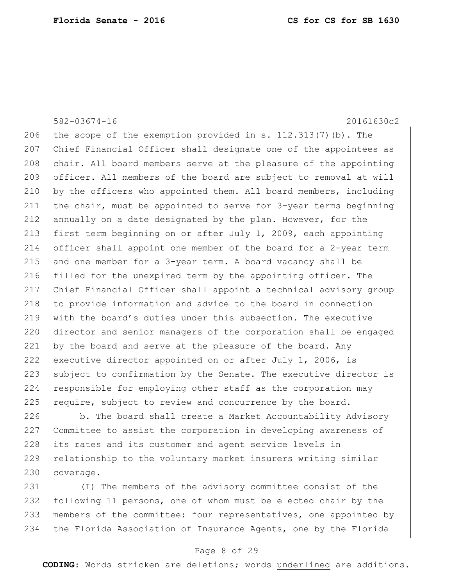582-03674-16 20161630c2 206 the scope of the exemption provided in s.  $112.313(7)(b)$ . The Chief Financial Officer shall designate one of the appointees as 208 chair. All board members serve at the pleasure of the appointing officer. All members of the board are subject to removal at will by the officers who appointed them. All board members, including the chair, must be appointed to serve for 3-year terms beginning annually on a date designated by the plan. However, for the first term beginning on or after July 1, 2009, each appointing officer shall appoint one member of the board for a 2-year term and one member for a 3-year term. A board vacancy shall be 216 filled for the unexpired term by the appointing officer. The Chief Financial Officer shall appoint a technical advisory group 218 to provide information and advice to the board in connection with the board's duties under this subsection. The executive 220 director and senior managers of the corporation shall be engaged 221 by the board and serve at the pleasure of the board. Any executive director appointed on or after July 1, 2006, is 223 subject to confirmation by the Senate. The executive director is responsible for employing other staff as the corporation may require, subject to review and concurrence by the board.

226 b. The board shall create a Market Accountability Advisory 227 Committee to assist the corporation in developing awareness of 228 its rates and its customer and agent service levels in 229 relationship to the voluntary market insurers writing similar 230 coverage.

 (I) The members of the advisory committee consist of the following 11 persons, one of whom must be elected chair by the members of the committee: four representatives, one appointed by the Florida Association of Insurance Agents, one by the Florida

### Page 8 of 29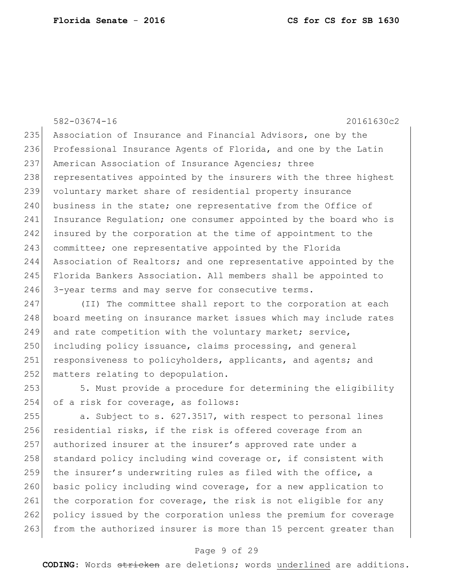582-03674-16 20161630c2 235 Association of Insurance and Financial Advisors, one by the 236 Professional Insurance Agents of Florida, and one by the Latin 237 American Association of Insurance Agencies; three 238 representatives appointed by the insurers with the three highest 239 voluntary market share of residential property insurance 240 business in the state; one representative from the Office of 241 Insurance Regulation; one consumer appointed by the board who is 242 insured by the corporation at the time of appointment to the 243 committee; one representative appointed by the Florida 244 Association of Realtors; and one representative appointed by the 245 Florida Bankers Association. All members shall be appointed to 246 3-year terms and may serve for consecutive terms.

247 (II) The committee shall report to the corporation at each 248 board meeting on insurance market issues which may include rates 249 and rate competition with the voluntary market; service,  $250$  including policy issuance, claims processing, and general 251 responsiveness to policyholders, applicants, and agents; and 252 matters relating to depopulation.

253 5. Must provide a procedure for determining the eligibility 254 of a risk for coverage, as follows:

255 a. Subject to s. 627.3517, with respect to personal lines 256 residential risks, if the risk is offered coverage from an 257 authorized insurer at the insurer's approved rate under a  $258$  standard policy including wind coverage or, if consistent with 259 the insurer's underwriting rules as filed with the office, a 260 basic policy including wind coverage, for a new application to 261 the corporation for coverage, the risk is not eligible for any 262 policy issued by the corporation unless the premium for coverage 263 from the authorized insurer is more than 15 percent greater than

# Page 9 of 29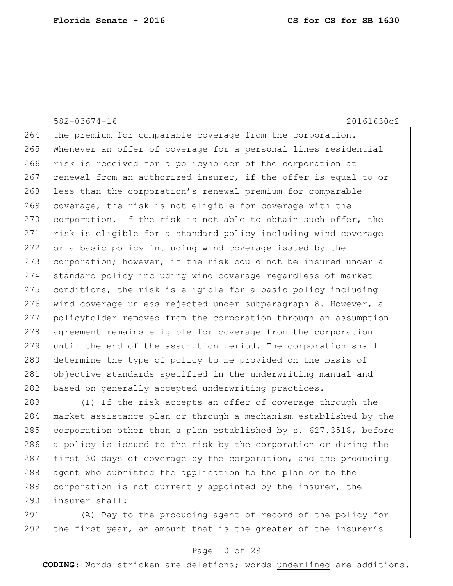264 the premium for comparable coverage from the corporation. 265 Whenever an offer of coverage for a personal lines residential 266 risk is received for a policyholder of the corporation at 267 renewal from an authorized insurer, if the offer is equal to or 268 less than the corporation's renewal premium for comparable 269 coverage, the risk is not eligible for coverage with the 270 corporation. If the risk is not able to obtain such offer, the 271 risk is eligible for a standard policy including wind coverage 272 or a basic policy including wind coverage issued by the 273 corporation; however, if the risk could not be insured under a 274 standard policy including wind coverage regardless of market  $275$  conditions, the risk is eligible for a basic policy including 276 wind coverage unless rejected under subparagraph 8. However, a 277 policyholder removed from the corporation through an assumption 278 agreement remains eligible for coverage from the corporation 279 until the end of the assumption period. The corporation shall 280 determine the type of policy to be provided on the basis of 281 objective standards specified in the underwriting manual and 282 based on generally accepted underwriting practices.

283 (I) If the risk accepts an offer of coverage through the 284 market assistance plan or through a mechanism established by the 285 corporation other than a plan established by s. 627.3518, before 286 a policy is issued to the risk by the corporation or during the 287 first 30 days of coverage by the corporation, and the producing 288 agent who submitted the application to the plan or to the 289 corporation is not currently appointed by the insurer, the 290 insurer shall:

291 (A) Pay to the producing agent of record of the policy for 292 the first year, an amount that is the greater of the insurer's

### Page 10 of 29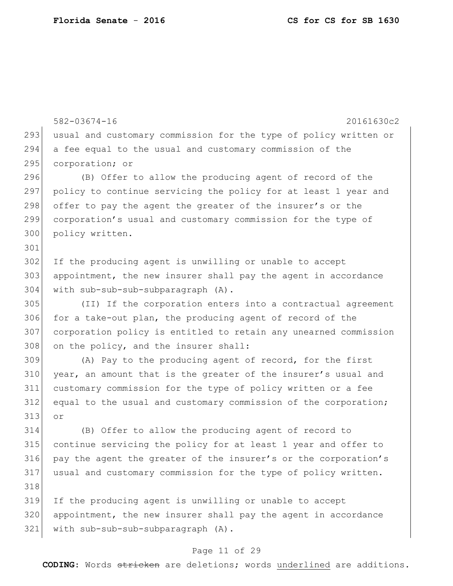582-03674-16 20161630c2 293 usual and customary commission for the type of policy written or a fee equal to the usual and customary commission of the corporation; or (B) Offer to allow the producing agent of record of the policy to continue servicing the policy for at least 1 year and 298 offer to pay the agent the greater of the insurer's or the corporation's usual and customary commission for the type of policy written. 302 If the producing agent is unwilling or unable to accept 303 appointment, the new insurer shall pay the agent in accordance with sub-sub-sub-subparagraph (A). (II) If the corporation enters into a contractual agreement for a take-out plan, the producing agent of record of the corporation policy is entitled to retain any unearned commission 308 on the policy, and the insurer shall: (A) Pay to the producing agent of record, for the first year, an amount that is the greater of the insurer's usual and customary commission for the type of policy written or a fee 312 equal to the usual and customary commission of the corporation; or (B) Offer to allow the producing agent of record to continue servicing the policy for at least 1 year and offer to pay the agent the greater of the insurer's or the corporation's usual and customary commission for the type of policy written. If the producing agent is unwilling or unable to accept appointment, the new insurer shall pay the agent in accordance with sub-sub-sub-subparagraph (A).

# Page 11 of 29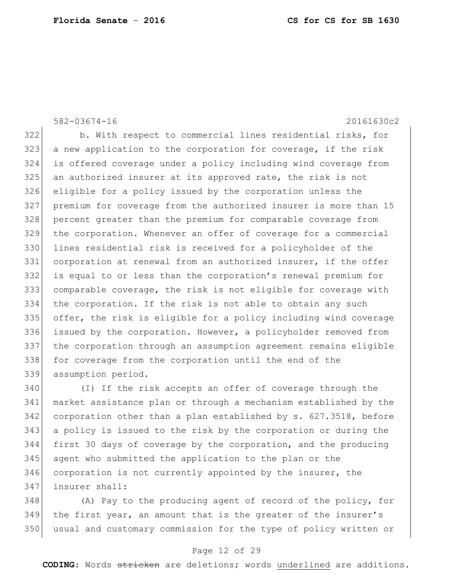b. With respect to commercial lines residential risks, for a new application to the corporation for coverage, if the risk is offered coverage under a policy including wind coverage from 325 an authorized insurer at its approved rate, the risk is not eligible for a policy issued by the corporation unless the premium for coverage from the authorized insurer is more than 15 percent greater than the premium for comparable coverage from the corporation. Whenever an offer of coverage for a commercial lines residential risk is received for a policyholder of the corporation at renewal from an authorized insurer, if the offer is equal to or less than the corporation's renewal premium for comparable coverage, the risk is not eligible for coverage with the corporation. If the risk is not able to obtain any such offer, the risk is eligible for a policy including wind coverage issued by the corporation. However, a policyholder removed from the corporation through an assumption agreement remains eligible 338 for coverage from the corporation until the end of the assumption period.

 (I) If the risk accepts an offer of coverage through the market assistance plan or through a mechanism established by the corporation other than a plan established by s. 627.3518, before a policy is issued to the risk by the corporation or during the first 30 days of coverage by the corporation, and the producing agent who submitted the application to the plan or the 346 corporation is not currently appointed by the insurer, the insurer shall:

348 (A) Pay to the producing agent of record of the policy, for the first year, an amount that is the greater of the insurer's usual and customary commission for the type of policy written or

### Page 12 of 29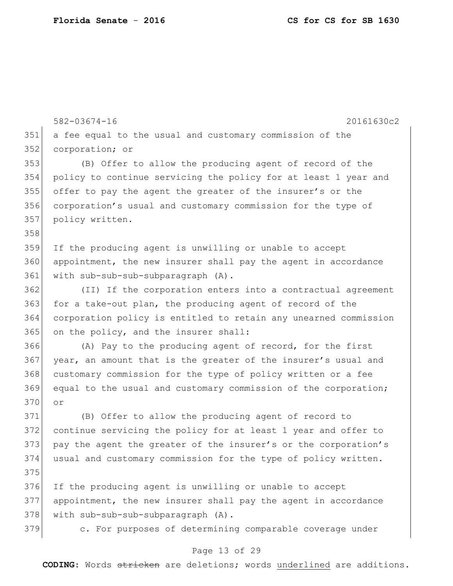```
582-03674-16 20161630c2
                              Page 13 of 29
351 a fee equal to the usual and customary commission of the 
352 corporation; or
353 (B) Offer to allow the producing agent of record of the 
354 policy to continue servicing the policy for at least 1 year and 
355 offer to pay the agent the greater of the insurer's or the 
356 corporation's usual and customary commission for the type of 
357 policy written.
358
359 If the producing agent is unwilling or unable to accept 
360 appointment, the new insurer shall pay the agent in accordance 
361 with sub-sub-sub-subparagraph (A).
362 (II) If the corporation enters into a contractual agreement 
363 for a take-out plan, the producing agent of record of the
364 corporation policy is entitled to retain any unearned commission 
365 on the policy, and the insurer shall:
366 (A) Pay to the producing agent of record, for the first 
367 year, an amount that is the greater of the insurer's usual and 
368 customary commission for the type of policy written or a fee
369 equal to the usual and customary commission of the corporation; 
370 or
371 (B) Offer to allow the producing agent of record to 
372 continue servicing the policy for at least 1 year and offer to 
373 pay the agent the greater of the insurer's or the corporation's 
374 usual and customary commission for the type of policy written.
375
376 If the producing agent is unwilling or unable to accept 
377 appointment, the new insurer shall pay the agent in accordance 
378 | with sub-sub-sub-subparagraph (A).
379 c. For purposes of determining comparable coverage under
```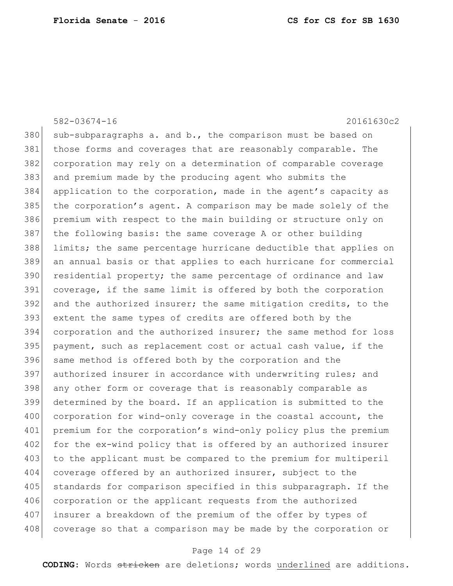380 sub-subparagraphs a. and b., the comparison must be based on those forms and coverages that are reasonably comparable. The corporation may rely on a determination of comparable coverage and premium made by the producing agent who submits the application to the corporation, made in the agent's capacity as the corporation's agent. A comparison may be made solely of the premium with respect to the main building or structure only on the following basis: the same coverage A or other building limits; the same percentage hurricane deductible that applies on an annual basis or that applies to each hurricane for commercial residential property; the same percentage of ordinance and law coverage, if the same limit is offered by both the corporation and the authorized insurer; the same mitigation credits, to the extent the same types of credits are offered both by the corporation and the authorized insurer; the same method for loss payment, such as replacement cost or actual cash value, if the 396 same method is offered both by the corporation and the 397 authorized insurer in accordance with underwriting rules; and 398 any other form or coverage that is reasonably comparable as determined by the board. If an application is submitted to the 400 corporation for wind-only coverage in the coastal account, the premium for the corporation's wind-only policy plus the premium 402 for the ex-wind policy that is offered by an authorized insurer 403 to the applicant must be compared to the premium for multiperil 404 coverage offered by an authorized insurer, subject to the 405 standards for comparison specified in this subparagraph. If the 406 corporation or the applicant requests from the authorized insurer a breakdown of the premium of the offer by types of 408 coverage so that a comparison may be made by the corporation or

### Page 14 of 29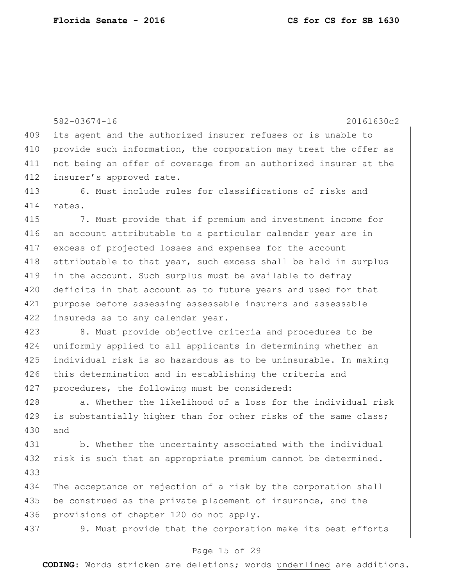582-03674-16 20161630c2 409 its agent and the authorized insurer refuses or is unable to 410 provide such information, the corporation may treat the offer as 411 not being an offer of coverage from an authorized insurer at the 412 insurer's approved rate. 413 6. Must include rules for classifications of risks and 414 rates. 415 7. Must provide that if premium and investment income for 416 an account attributable to a particular calendar year are in 417 excess of projected losses and expenses for the account 418 attributable to that year, such excess shall be held in surplus 419 in the account. Such surplus must be available to defray 420 deficits in that account as to future years and used for that 421 purpose before assessing assessable insurers and assessable 422 insureds as to any calendar year. 423 8. Must provide objective criteria and procedures to be 424 uniformly applied to all applicants in determining whether an 425 individual risk is so hazardous as to be uninsurable. In making 426 this determination and in establishing the criteria and 427 procedures, the following must be considered: 428 a. Whether the likelihood of a loss for the individual risk 429 is substantially higher than for other risks of the same class; 430 and 431 b. Whether the uncertainty associated with the individual 432 risk is such that an appropriate premium cannot be determined. 433 434 The acceptance or rejection of a risk by the corporation shall 435 be construed as the private placement of insurance, and the 436 provisions of chapter 120 do not apply. 437 9. Must provide that the corporation make its best efforts

### Page 15 of 29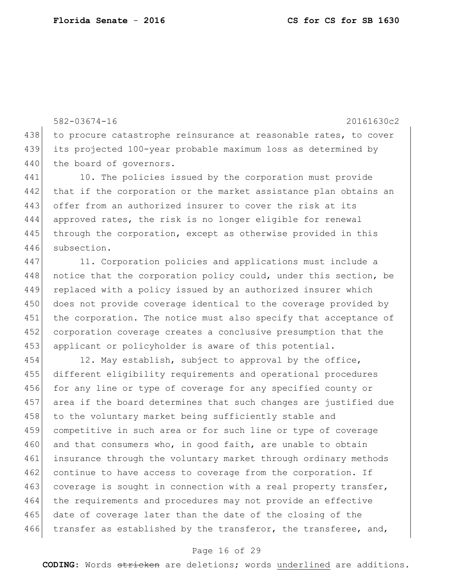582-03674-16 20161630c2 438 to procure catastrophe reinsurance at reasonable rates, to cover 439 its projected 100-year probable maximum loss as determined by 440 the board of governors. 441 10. The policies issued by the corporation must provide 442 that if the corporation or the market assistance plan obtains an 443 offer from an authorized insurer to cover the risk at its 444 approved rates, the risk is no longer eligible for renewal 445 through the corporation, except as otherwise provided in this 446 subsection.

447 11. Corporation policies and applications must include a 448 notice that the corporation policy could, under this section, be 449 replaced with a policy issued by an authorized insurer which 450 does not provide coverage identical to the coverage provided by 451 the corporation. The notice must also specify that acceptance of 452 corporation coverage creates a conclusive presumption that the 453 applicant or policyholder is aware of this potential.

454 12. May establish, subject to approval by the office, 455 different eligibility requirements and operational procedures 456 for any line or type of coverage for any specified county or 457 area if the board determines that such changes are justified due 458 to the voluntary market being sufficiently stable and 459 competitive in such area or for such line or type of coverage 460 and that consumers who, in good faith, are unable to obtain 461 insurance through the voluntary market through ordinary methods 462 continue to have access to coverage from the corporation. If 463 coverage is sought in connection with a real property transfer, 464 the requirements and procedures may not provide an effective 465 date of coverage later than the date of the closing of the 466 transfer as established by the transferor, the transferee, and,

### Page 16 of 29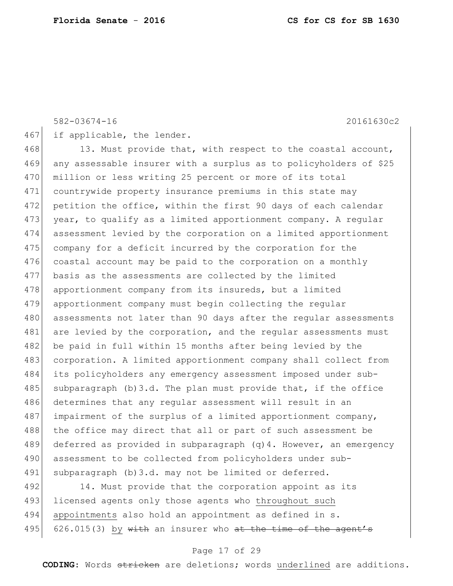467 if applicable, the lender.

468 13. Must provide that, with respect to the coastal account, 469 any assessable insurer with a surplus as to policyholders of \$25 470 million or less writing 25 percent or more of its total 471 countrywide property insurance premiums in this state may 472 petition the office, within the first 90 days of each calendar 473 year, to qualify as a limited apportionment company. A regular 474 assessment levied by the corporation on a limited apportionment 475 company for a deficit incurred by the corporation for the 476 coastal account may be paid to the corporation on a monthly 477 basis as the assessments are collected by the limited 478 apportionment company from its insureds, but a limited 479 apportionment company must begin collecting the regular 480 assessments not later than 90 days after the regular assessments 481 are levied by the corporation, and the regular assessments must 482 be paid in full within 15 months after being levied by the 483 corporation. A limited apportionment company shall collect from 484 its policyholders any emergency assessment imposed under sub-485 subparagraph (b)3.d. The plan must provide that, if the office 486 determines that any regular assessment will result in an 487 impairment of the surplus of a limited apportionment company, 488 | the office may direct that all or part of such assessment be 489 deferred as provided in subparagraph (q) 4. However, an emergency 490 assessment to be collected from policyholders under sub-491 subparagraph (b)3.d. may not be limited or deferred.

492 14. Must provide that the corporation appoint as its 493 licensed agents only those agents who throughout such 494 appointments also hold an appointment as defined in s. 495 626.015(3) by  $\text{with}$  an insurer who at the time of the agent's

### Page 17 of 29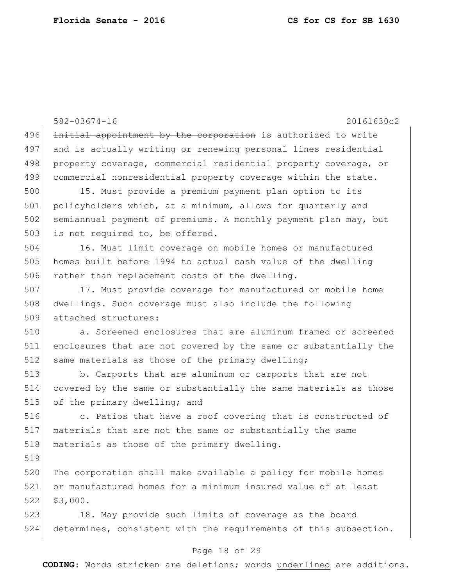582-03674-16 20161630c2 496 initial appointment by the corporation is authorized to write 497 and is actually writing or renewing personal lines residential 498 property coverage, commercial residential property coverage, or 499 commercial nonresidential property coverage within the state. 500 15. Must provide a premium payment plan option to its 501 policyholders which, at a minimum, allows for quarterly and 502 semiannual payment of premiums. A monthly payment plan may, but 503 is not required to, be offered. 504 16. Must limit coverage on mobile homes or manufactured 505 homes built before 1994 to actual cash value of the dwelling 506 rather than replacement costs of the dwelling. 507 17. Must provide coverage for manufactured or mobile home 508 dwellings. Such coverage must also include the following 509 attached structures: 510 a. Screened enclosures that are aluminum framed or screened 511 enclosures that are not covered by the same or substantially the 512 same materials as those of the primary dwelling; 513 b. Carports that are aluminum or carports that are not 514 covered by the same or substantially the same materials as those 515 of the primary dwelling; and 516 **b** c. Patios that have a roof covering that is constructed of 517 materials that are not the same or substantially the same 518 materials as those of the primary dwelling. 519 520 The corporation shall make available a policy for mobile homes 521 or manufactured homes for a minimum insured value of at least 522 \$3,000. 523 18. May provide such limits of coverage as the board 524 determines, consistent with the requirements of this subsection.

### Page 18 of 29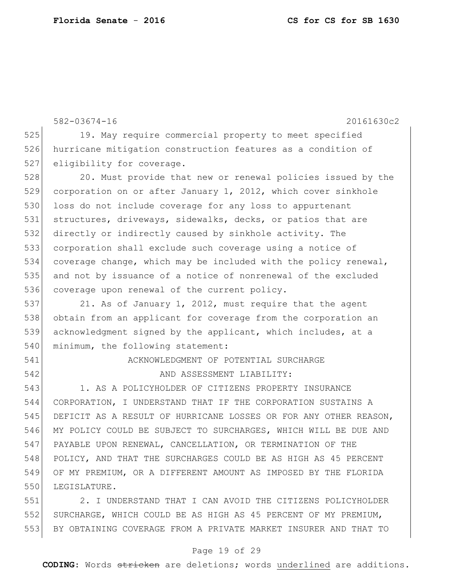582-03674-16 20161630c2 525 19. May require commercial property to meet specified hurricane mitigation construction features as a condition of 527 eligibility for coverage. 528 20. Must provide that new or renewal policies issued by the 529 corporation on or after January 1, 2012, which cover sinkhole 530 loss do not include coverage for any loss to appurtenant structures, driveways, sidewalks, decks, or patios that are directly or indirectly caused by sinkhole activity. The corporation shall exclude such coverage using a notice of coverage change, which may be included with the policy renewal, and not by issuance of a notice of nonrenewal of the excluded 536 coverage upon renewal of the current policy. 537 21. As of January 1, 2012, must require that the agent obtain from an applicant for coverage from the corporation an acknowledgment signed by the applicant, which includes, at a 540 minimum, the following statement: ACKNOWLEDGMENT OF POTENTIAL SURCHARGE 542 AND ASSESSMENT LIABILITY: 1. AS A POLICYHOLDER OF CITIZENS PROPERTY INSURANCE CORPORATION, I UNDERSTAND THAT IF THE CORPORATION SUSTAINS A DEFICIT AS A RESULT OF HURRICANE LOSSES OR FOR ANY OTHER REASON, MY POLICY COULD BE SUBJECT TO SURCHARGES, WHICH WILL BE DUE AND PAYABLE UPON RENEWAL, CANCELLATION, OR TERMINATION OF THE POLICY, AND THAT THE SURCHARGES COULD BE AS HIGH AS 45 PERCENT OF MY PREMIUM, OR A DIFFERENT AMOUNT AS IMPOSED BY THE FLORIDA 550 LEGISLATURE. 2. I UNDERSTAND THAT I CAN AVOID THE CITIZENS POLICYHOLDER SURCHARGE, WHICH COULD BE AS HIGH AS 45 PERCENT OF MY PREMIUM, BY OBTAINING COVERAGE FROM A PRIVATE MARKET INSURER AND THAT TO

#### Page 19 of 29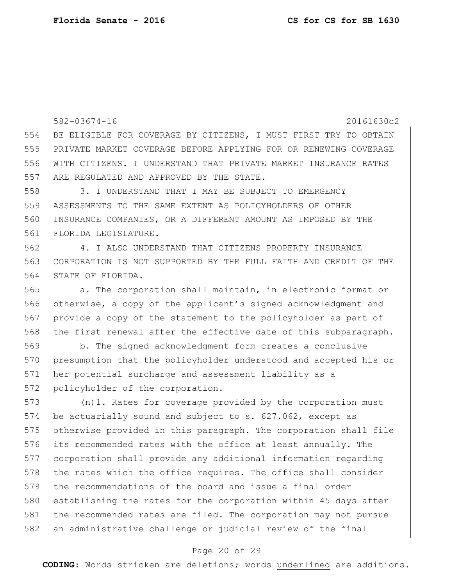582-03674-16 20161630c2 BE ELIGIBLE FOR COVERAGE BY CITIZENS, I MUST FIRST TRY TO OBTAIN PRIVATE MARKET COVERAGE BEFORE APPLYING FOR OR RENEWING COVERAGE WITH CITIZENS. I UNDERSTAND THAT PRIVATE MARKET INSURANCE RATES 557 ARE REGULATED AND APPROVED BY THE STATE. 3. I UNDERSTAND THAT I MAY BE SUBJECT TO EMERGENCY ASSESSMENTS TO THE SAME EXTENT AS POLICYHOLDERS OF OTHER INSURANCE COMPANIES, OR A DIFFERENT AMOUNT AS IMPOSED BY THE FLORIDA LEGISLATURE. 4. I ALSO UNDERSTAND THAT CITIZENS PROPERTY INSURANCE CORPORATION IS NOT SUPPORTED BY THE FULL FAITH AND CREDIT OF THE STATE OF FLORIDA. a. The corporation shall maintain, in electronic format or otherwise, a copy of the applicant's signed acknowledgment and provide a copy of the statement to the policyholder as part of 568 the first renewal after the effective date of this subparagraph.

 b. The signed acknowledgment form creates a conclusive presumption that the policyholder understood and accepted his or her potential surcharge and assessment liability as a 572 policyholder of the corporation.

 (n)1. Rates for coverage provided by the corporation must be actuarially sound and subject to s. 627.062, except as otherwise provided in this paragraph. The corporation shall file its recommended rates with the office at least annually. The corporation shall provide any additional information regarding 578 the rates which the office requires. The office shall consider the recommendations of the board and issue a final order 580 establishing the rates for the corporation within 45 days after the recommended rates are filed. The corporation may not pursue 582 an administrative challenge or judicial review of the final

# Page 20 of 29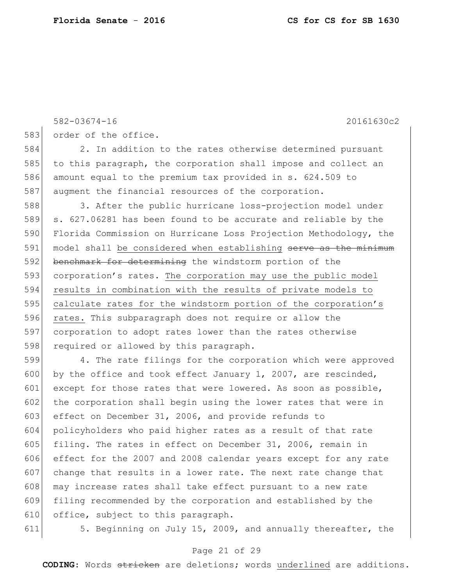```
582-03674-16 20161630c2
583 order of the office.
584 2. In addition to the rates otherwise determined pursuant 
585 to this paragraph, the corporation shall impose and collect an
586 amount equal to the premium tax provided in s. 624.509 to 
587 augment the financial resources of the corporation.
588 3. After the public hurricane loss-projection model under
589 s. 627.06281 has been found to be accurate and reliable by the
590 Florida Commission on Hurricane Loss Projection Methodology, the
591 model shall be considered when establishing serve as the minimum
592 benchmark for determining the windstorm portion of the
593 corporation's rates. The corporation may use the public model
594 results in combination with the results of private models to 
595 calculate rates for the windstorm portion of the corporation's 
596 rates. This subparagraph does not require or allow the
597 corporation to adopt rates lower than the rates otherwise 
598 required or allowed by this paragraph.
599 4. The rate filings for the corporation which were approved 
600 by the office and took effect January 1, 2007, are rescinded,
601 except for those rates that were lowered. As soon as possible,
602 the corporation shall begin using the lower rates that were in
603 effect on December 31, 2006, and provide refunds to 
604 policyholders who paid higher rates as a result of that rate 
605 filing. The rates in effect on December 31, 2006, remain in 
606 effect for the 2007 and 2008 calendar years except for any rate 
607 change that results in a lower rate. The next rate change that 
608 may increase rates shall take effect pursuant to a new rate
609 filing recommended by the corporation and established by the 
610 office, subject to this paragraph.
```
611 5. Beginning on July 15, 2009, and annually thereafter, the

# Page 21 of 29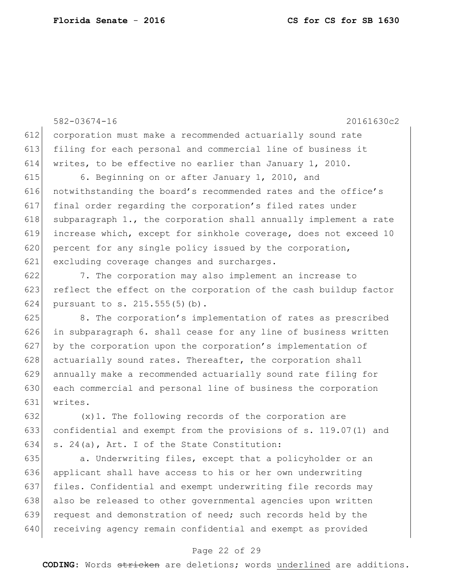582-03674-16 20161630c2 612 corporation must make a recommended actuarially sound rate 613 filing for each personal and commercial line of business it 614 writes, to be effective no earlier than January 1, 2010. 615 6. Beginning on or after January 1, 2010, and 616 notwithstanding the board's recommended rates and the office's 617 final order regarding the corporation's filed rates under 618 subparagraph 1., the corporation shall annually implement a rate 619 increase which, except for sinkhole coverage, does not exceed 10 620 percent for any single policy issued by the corporation, 621 excluding coverage changes and surcharges. 622 7. The corporation may also implement an increase to 623 reflect the effect on the corporation of the cash buildup factor 624 pursuant to s. 215.555(5)(b).

625 8. The corporation's implementation of rates as prescribed  $626$  in subparagraph 6. shall cease for any line of business written 627 by the corporation upon the corporation's implementation of  $628$  actuarially sound rates. Thereafter, the corporation shall 629 annually make a recommended actuarially sound rate filing for 630 each commercial and personal line of business the corporation 631 writes.

632  $(x)$ 1. The following records of the corporation are 633 confidential and exempt from the provisions of s. 119.07(1) and 634 s. 24(a), Art. I of the State Constitution:

635 a. Underwriting files, except that a policyholder or an 636 applicant shall have access to his or her own underwriting 637 files. Confidential and exempt underwriting file records may 638 also be released to other governmental agencies upon written 639 request and demonstration of need; such records held by the 640 receiving agency remain confidential and exempt as provided

## Page 22 of 29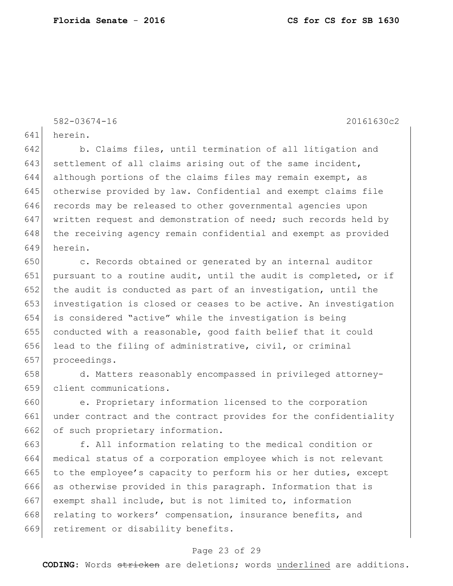641 herein.

642 b. Claims files, until termination of all litigation and 643 settlement of all claims arising out of the same incident, 644 although portions of the claims files may remain exempt, as 645 otherwise provided by law. Confidential and exempt claims file 646 records may be released to other governmental agencies upon 647 written request and demonstration of need; such records held by 648 the receiving agency remain confidential and exempt as provided 649 herein.

650 c. Records obtained or generated by an internal auditor 651 pursuant to a routine audit, until the audit is completed, or if 652 the audit is conducted as part of an investigation, until the investigation is closed or ceases to be active. An investigation is considered "active" while the investigation is being conducted with a reasonable, good faith belief that it could lead to the filing of administrative, civil, or criminal proceedings.

658 d. Matters reasonably encompassed in privileged attorney-659 client communications.

660 e. Proprietary information licensed to the corporation 661 under contract and the contract provides for the confidentiality 662 of such proprietary information.

663 f. All information relating to the medical condition or 664 medical status of a corporation employee which is not relevant 665 to the employee's capacity to perform his or her duties, except 666 as otherwise provided in this paragraph. Information that is 667 exempt shall include, but is not limited to, information 668 relating to workers' compensation, insurance benefits, and 669 retirement or disability benefits.

### Page 23 of 29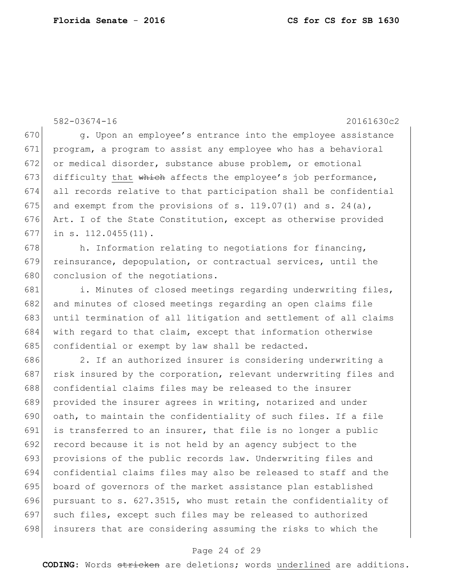582-03674-16 20161630c2 670 g. Upon an employee's entrance into the employee assistance 671 program, a program to assist any employee who has a behavioral 672 or medical disorder, substance abuse problem, or emotional 673 difficulty that which affects the employee's job performance, 674 all records relative to that participation shall be confidential 675 and exempt from the provisions of s. 119.07(1) and s. 24(a), 676 Art. I of the State Constitution, except as otherwise provided 677 in s. 112.0455(11). 678 h. Information relating to negotiations for financing, 679 reinsurance, depopulation, or contractual services, until the 680 conclusion of the negotiations. 681 i. Minutes of closed meetings regarding underwriting files, 682 and minutes of closed meetings regarding an open claims file 683 until termination of all litigation and settlement of all claims 684 with regard to that claim, except that information otherwise 685 confidential or exempt by law shall be redacted. 686 2. If an authorized insurer is considering underwriting a 687 risk insured by the corporation, relevant underwriting files and 688 confidential claims files may be released to the insurer 689 provided the insurer agrees in writing, notarized and under 690  $\sigma$  oath, to maintain the confidentiality of such files. If a file 691 is transferred to an insurer, that file is no longer a public 692 record because it is not held by an agency subject to the 693 provisions of the public records law. Underwriting files and 694 confidential claims files may also be released to staff and the 695 board of governors of the market assistance plan established 696 pursuant to s. 627.3515, who must retain the confidentiality of 697 such files, except such files may be released to authorized 698 insurers that are considering assuming the risks to which the

### Page 24 of 29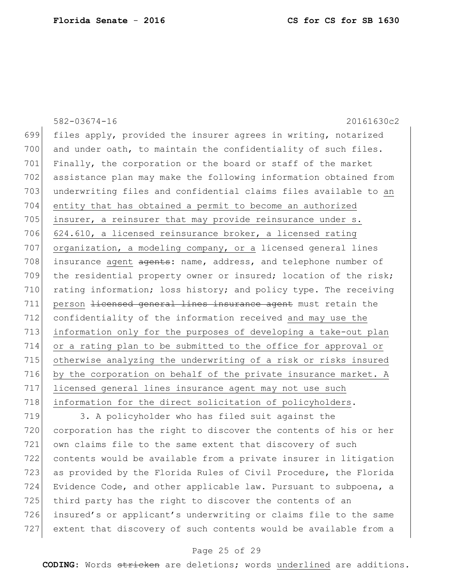|     | $582 - 03674 - 16$<br>20161630c2                                 |
|-----|------------------------------------------------------------------|
| 699 | files apply, provided the insurer agrees in writing, notarized   |
| 700 | and under oath, to maintain the confidentiality of such files.   |
| 701 | Finally, the corporation or the board or staff of the market     |
| 702 | assistance plan may make the following information obtained from |
| 703 | underwriting files and confidential claims files available to an |
| 704 | entity that has obtained a permit to become an authorized        |
| 705 | insurer, a reinsurer that may provide reinsurance under s.       |
| 706 | 624.610, a licensed reinsurance broker, a licensed rating        |
| 707 | organization, a modeling company, or a licensed general lines    |
| 708 | insurance agent agents: name, address, and telephone number of   |
| 709 | the residential property owner or insured; location of the risk; |
| 710 | rating information; loss history; and policy type. The receiving |
| 711 | person licensed general lines insurance agent must retain the    |
| 712 | confidentiality of the information received and may use the      |
| 713 | information only for the purposes of developing a take-out plan  |
| 714 | or a rating plan to be submitted to the office for approval or   |
| 715 | otherwise analyzing the underwriting of a risk or risks insured  |
| 716 | by the corporation on behalf of the private insurance market. A  |
| 717 | licensed general lines insurance agent may not use such          |
| 718 | information for the direct solicitation of policyholders.        |
|     |                                                                  |

 3. A policyholder who has filed suit against the 720 corporation has the right to discover the contents of his or her 721 own claims file to the same extent that discovery of such contents would be available from a private insurer in litigation 723 as provided by the Florida Rules of Civil Procedure, the Florida 724 Evidence Code, and other applicable law. Pursuant to subpoena, a 725 third party has the right to discover the contents of an 726 insured's or applicant's underwriting or claims file to the same extent that discovery of such contents would be available from a

# Page 25 of 29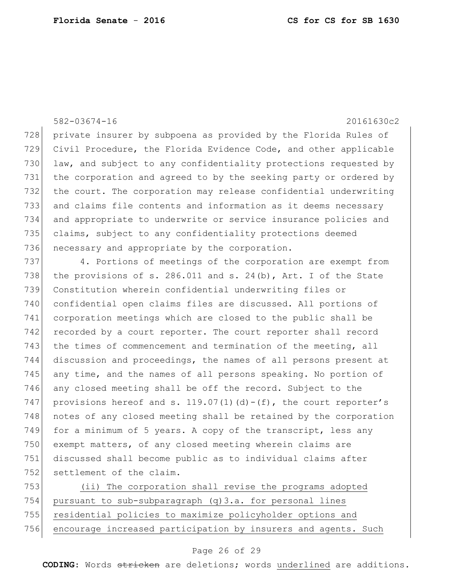728 private insurer by subpoena as provided by the Florida Rules of Civil Procedure, the Florida Evidence Code, and other applicable 730 law, and subject to any confidentiality protections requested by the corporation and agreed to by the seeking party or ordered by the court. The corporation may release confidential underwriting and claims file contents and information as it deems necessary and appropriate to underwrite or service insurance policies and claims, subject to any confidentiality protections deemed 736 necessary and appropriate by the corporation.

737 4. Portions of meetings of the corporation are exempt from 738 the provisions of s. 286.011 and s. 24(b), Art. I of the State 739 Constitution wherein confidential underwriting files or 740 confidential open claims files are discussed. All portions of 741 corporation meetings which are closed to the public shall be 742 recorded by a court reporter. The court reporter shall record 743 the times of commencement and termination of the meeting, all 744 discussion and proceedings, the names of all persons present at 745 any time, and the names of all persons speaking. No portion of 746 any closed meeting shall be off the record. Subject to the 747 provisions hereof and s. 119.07(1)(d)-(f), the court reporter's 748 notes of any closed meeting shall be retained by the corporation 749 for a minimum of 5 years. A copy of the transcript, less any 750 exempt matters, of any closed meeting wherein claims are 751 discussed shall become public as to individual claims after 752 settlement of the claim.

 (ii) The corporation shall revise the programs adopted 754 pursuant to sub-subparagraph  $(q)$  3.a. for personal lines residential policies to maximize policyholder options and encourage increased participation by insurers and agents. Such

#### Page 26 of 29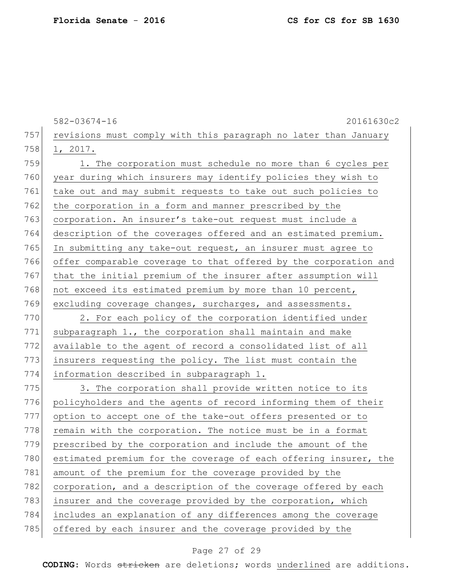582-03674-16 20161630c2 757 revisions must comply with this paragraph no later than January 758 1, 2017. 759 1. The corporation must schedule no more than 6 cycles per 760 year during which insurers may identify policies they wish to 761 take out and may submit requests to take out such policies to 762 the corporation in a form and manner prescribed by the 763 corporation. An insurer's take-out request must include a 764 description of the coverages offered and an estimated premium. 765 In submitting any take-out request, an insurer must agree to 766 offer comparable coverage to that offered by the corporation and 767 that the initial premium of the insurer after assumption will 768 not exceed its estimated premium by more than 10 percent, 769 excluding coverage changes, surcharges, and assessments. 770 2. For each policy of the corporation identified under 771 subparagraph 1., the corporation shall maintain and make 772 available to the agent of record a consolidated list of all 773 insurers requesting the policy. The list must contain the 774 information described in subparagraph 1. 775 3. The corporation shall provide written notice to its 776 policyholders and the agents of record informing them of their 777 option to accept one of the take-out offers presented or to 778 remain with the corporation. The notice must be in a format 779 prescribed by the corporation and include the amount of the 780 estimated premium for the coverage of each offering insurer, the 781 amount of the premium for the coverage provided by the 782 corporation, and a description of the coverage offered by each 783 insurer and the coverage provided by the corporation, which 784 includes an explanation of any differences among the coverage 785 offered by each insurer and the coverage provided by the

#### Page 27 of 29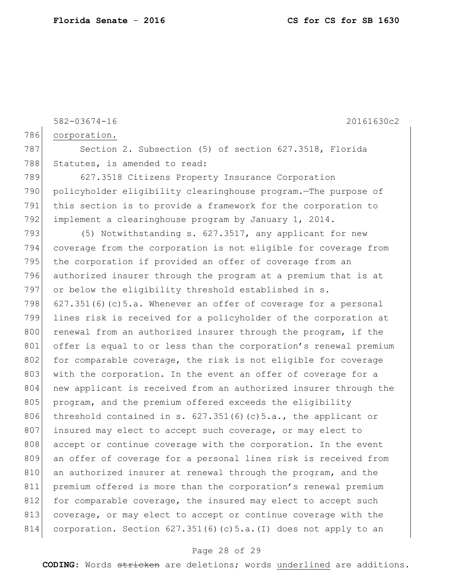582-03674-16 20161630c2 786 corporation. 787 Section 2. Subsection (5) of section 627.3518, Florida 788 Statutes, is amended to read: 789 627.3518 Citizens Property Insurance Corporation 790 policyholder eligibility clearinghouse program.—The purpose of 791 this section is to provide a framework for the corporation to 792 implement a clearinghouse program by January 1, 2014. 793 (5) Notwithstanding s. 627.3517, any applicant for new 794 coverage from the corporation is not eligible for coverage from 795 the corporation if provided an offer of coverage from an 796 authorized insurer through the program at a premium that is at 797 or below the eligibility threshold established in s. 798  $627.351(6)(c)5.a.$  Whenever an offer of coverage for a personal 799 lines risk is received for a policyholder of the corporation at 800 renewal from an authorized insurer through the program, if the 801 offer is equal to or less than the corporation's renewal premium 802 for comparable coverage, the risk is not eligible for coverage 803 with the corporation. In the event an offer of coverage for a 804 new applicant is received from an authorized insurer through the 805 program, and the premium offered exceeds the eligibility 806 threshold contained in s.  $627.351(6)(c)5.a.,$  the applicant or 807 insured may elect to accept such coverage, or may elect to 808 accept or continue coverage with the corporation. In the event 809 an offer of coverage for a personal lines risk is received from 810 an authorized insurer at renewal through the program, and the 811 premium offered is more than the corporation's renewal premium 812 for comparable coverage, the insured may elect to accept such 813 coverage, or may elect to accept or continue coverage with the 814 corporation. Section 627.351(6)(c)5.a.(I) does not apply to an

#### Page 28 of 29